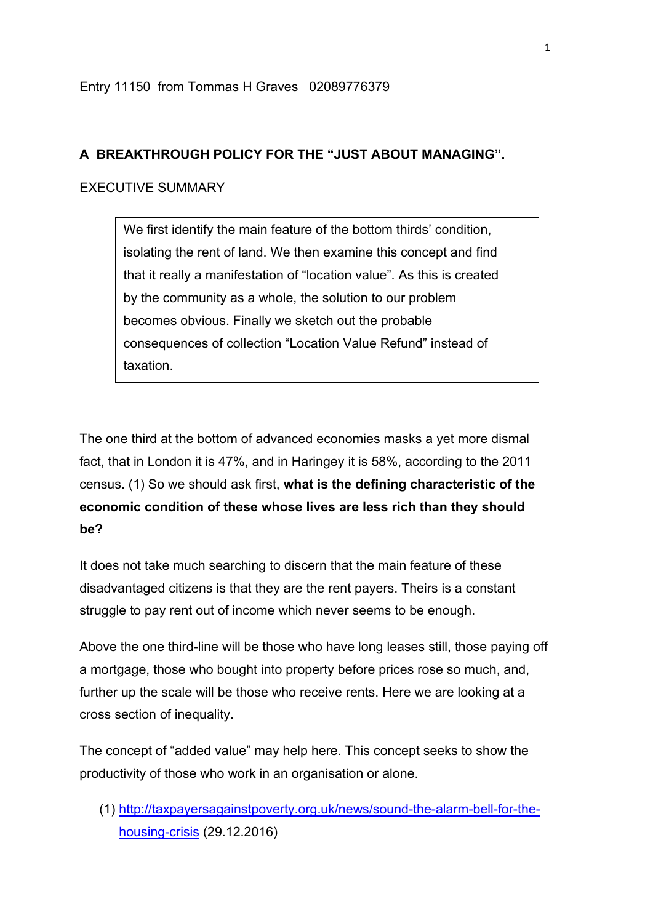## **A BREAKTHROUGH POLICY FOR THE "JUST ABOUT MANAGING".**

### EXECUTIVE SUMMARY

We first identify the main feature of the bottom thirds' condition, isolating the rent of land. We then examine this concept and find that it really a manifestation of "location value". As this is created by the community as a whole, the solution to our problem becomes obvious. Finally we sketch out the probable consequences of collection "Location Value Refund" instead of taxation.

The one third at the bottom of advanced economies masks a yet more dismal fact, that in London it is 47%, and in Haringey it is 58%, according to the 2011 census. (1) So we should ask first, **what is the defining characteristic of the economic condition of these whose lives are less rich than they should be?**

It does not take much searching to discern that the main feature of these disadvantaged citizens is that they are the rent payers. Theirs is a constant struggle to pay rent out of income which never seems to be enough.

Above the one third-line will be those who have long leases still, those paying off a mortgage, those who bought into property before prices rose so much, and, further up the scale will be those who receive rents. Here we are looking at a cross section of inequality.

The concept of "added value" may help here. This concept seeks to show the productivity of those who work in an organisation or alone.

(1) http://taxpayersagainstpoverty.org.uk/news/sound-the-alarm-bell-for-thehousing-crisis (29.12.2016)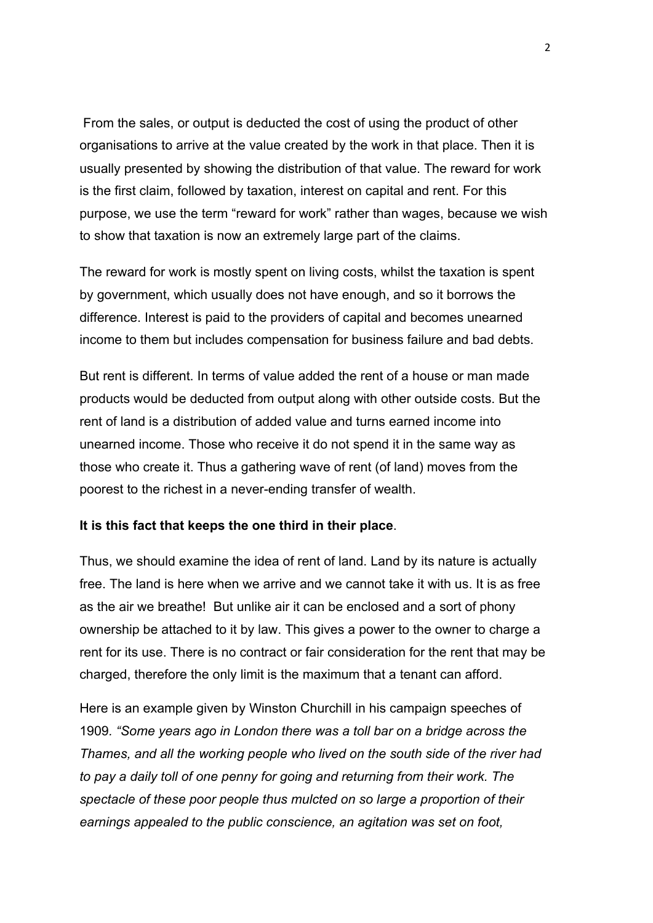From the sales, or output is deducted the cost of using the product of other organisations to arrive at the value created by the work in that place. Then it is usually presented by showing the distribution of that value. The reward for work is the first claim, followed by taxation, interest on capital and rent. For this purpose, we use the term "reward for work" rather than wages, because we wish to show that taxation is now an extremely large part of the claims.

The reward for work is mostly spent on living costs, whilst the taxation is spent by government, which usually does not have enough, and so it borrows the difference. Interest is paid to the providers of capital and becomes unearned income to them but includes compensation for business failure and bad debts.

But rent is different. In terms of value added the rent of a house or man made products would be deducted from output along with other outside costs. But the rent of land is a distribution of added value and turns earned income into unearned income. Those who receive it do not spend it in the same way as those who create it. Thus a gathering wave of rent (of land) moves from the poorest to the richest in a never-ending transfer of wealth.

#### **It is this fact that keeps the one third in their place**.

Thus, we should examine the idea of rent of land. Land by its nature is actually free. The land is here when we arrive and we cannot take it with us. It is as free as the air we breathe! But unlike air it can be enclosed and a sort of phony ownership be attached to it by law. This gives a power to the owner to charge a rent for its use. There is no contract or fair consideration for the rent that may be charged, therefore the only limit is the maximum that a tenant can afford.

Here is an example given by Winston Churchill in his campaign speeches of 1909*. "Some years ago in London there was a toll bar on a bridge across the Thames, and all the working people who lived on the south side of the river had to pay a daily toll of one penny for going and returning from their work. The spectacle of these poor people thus mulcted on so large a proportion of their earnings appealed to the public conscience, an agitation was set on foot,*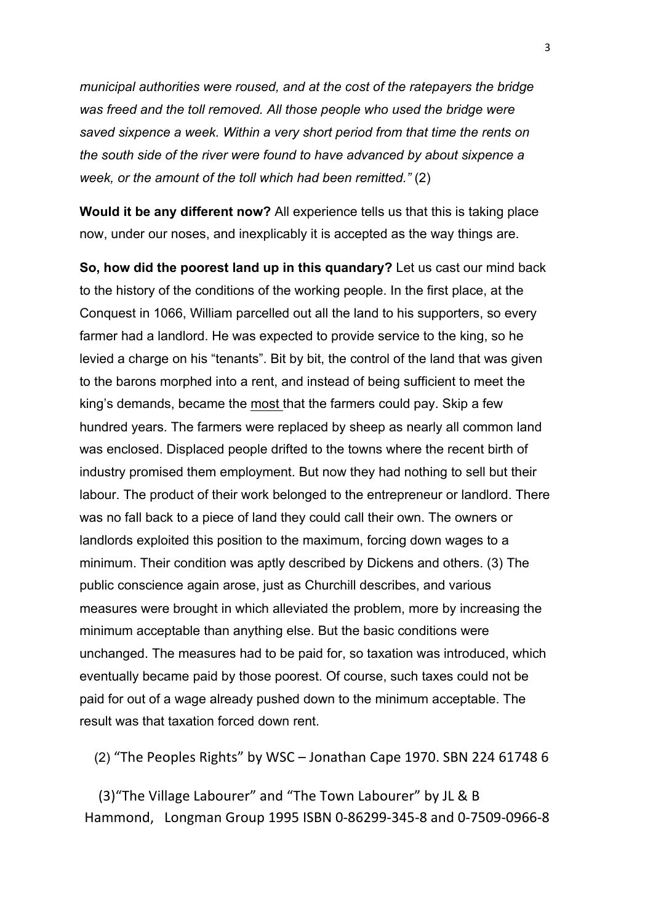*municipal authorities were roused, and at the cost of the ratepayers the bridge was freed and the toll removed. All those people who used the bridge were saved sixpence a week. Within a very short period from that time the rents on the south side of the river were found to have advanced by about sixpence a week, or the amount of the toll which had been remitted."* (2)

**Would it be any different now?** All experience tells us that this is taking place now, under our noses, and inexplicably it is accepted as the way things are.

**So, how did the poorest land up in this quandary?** Let us cast our mind back to the history of the conditions of the working people. In the first place, at the Conquest in 1066, William parcelled out all the land to his supporters, so every farmer had a landlord. He was expected to provide service to the king, so he levied a charge on his "tenants". Bit by bit, the control of the land that was given to the barons morphed into a rent, and instead of being sufficient to meet the king's demands, became the most that the farmers could pay. Skip a few hundred years. The farmers were replaced by sheep as nearly all common land was enclosed. Displaced people drifted to the towns where the recent birth of industry promised them employment. But now they had nothing to sell but their labour. The product of their work belonged to the entrepreneur or landlord. There was no fall back to a piece of land they could call their own. The owners or landlords exploited this position to the maximum, forcing down wages to a minimum. Their condition was aptly described by Dickens and others. (3) The public conscience again arose, just as Churchill describes, and various measures were brought in which alleviated the problem, more by increasing the minimum acceptable than anything else. But the basic conditions were unchanged. The measures had to be paid for, so taxation was introduced, which eventually became paid by those poorest. Of course, such taxes could not be paid for out of a wage already pushed down to the minimum acceptable. The result was that taxation forced down rent.

(2) "The Peoples Rights" by WSC – Jonathan Cape 1970. SBN 224 61748 6

(3) "The Village Labourer" and "The Town Labourer" by JL & B Hammond, Longman Group 1995 ISBN 0-86299-345-8 and 0-7509-0966-8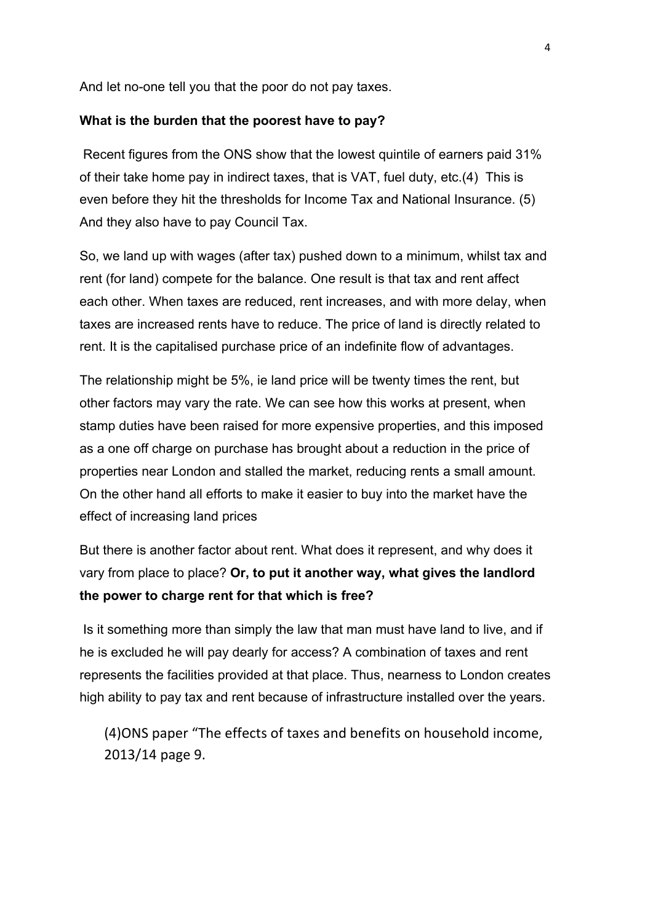And let no-one tell you that the poor do not pay taxes.

#### **What is the burden that the poorest have to pay?**

Recent figures from the ONS show that the lowest quintile of earners paid 31% of their take home pay in indirect taxes, that is VAT, fuel duty, etc.(4) This is even before they hit the thresholds for Income Tax and National Insurance. (5) And they also have to pay Council Tax.

So, we land up with wages (after tax) pushed down to a minimum, whilst tax and rent (for land) compete for the balance. One result is that tax and rent affect each other. When taxes are reduced, rent increases, and with more delay, when taxes are increased rents have to reduce. The price of land is directly related to rent. It is the capitalised purchase price of an indefinite flow of advantages.

The relationship might be 5%, ie land price will be twenty times the rent, but other factors may vary the rate. We can see how this works at present, when stamp duties have been raised for more expensive properties, and this imposed as a one off charge on purchase has brought about a reduction in the price of properties near London and stalled the market, reducing rents a small amount. On the other hand all efforts to make it easier to buy into the market have the effect of increasing land prices

But there is another factor about rent. What does it represent, and why does it vary from place to place? **Or, to put it another way, what gives the landlord the power to charge rent for that which is free?**

Is it something more than simply the law that man must have land to live, and if he is excluded he will pay dearly for access? A combination of taxes and rent represents the facilities provided at that place. Thus, nearness to London creates high ability to pay tax and rent because of infrastructure installed over the years.

(4) ONS paper "The effects of taxes and benefits on household income, 2013/14 page 9.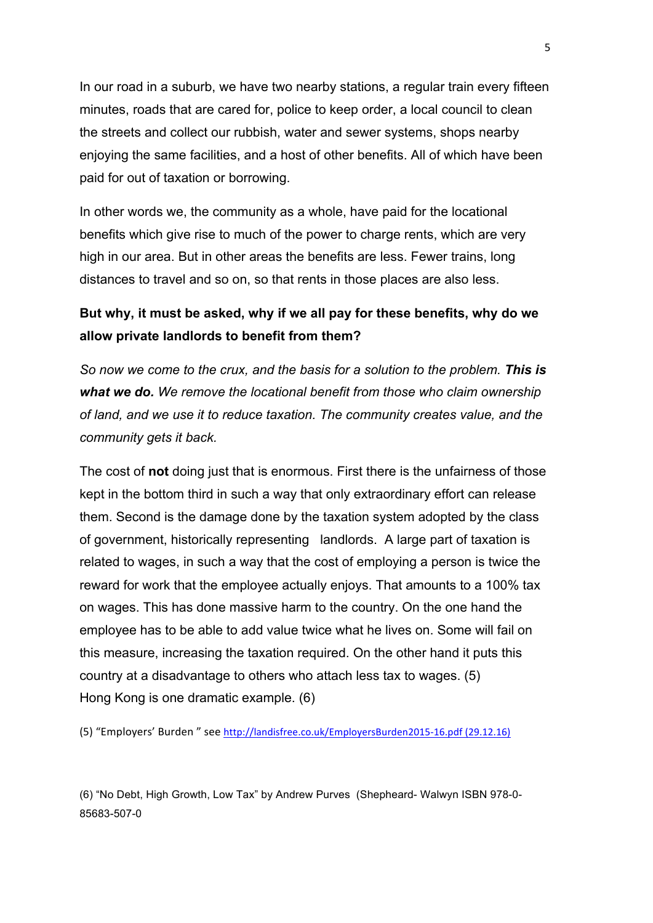In our road in a suburb, we have two nearby stations, a regular train every fifteen minutes, roads that are cared for, police to keep order, a local council to clean the streets and collect our rubbish, water and sewer systems, shops nearby enjoying the same facilities, and a host of other benefits. All of which have been paid for out of taxation or borrowing.

In other words we, the community as a whole, have paid for the locational benefits which give rise to much of the power to charge rents, which are very high in our area. But in other areas the benefits are less. Fewer trains, long distances to travel and so on, so that rents in those places are also less.

## **But why, it must be asked, why if we all pay for these benefits, why do we allow private landlords to benefit from them?**

*So now we come to the crux, and the basis for a solution to the problem. This is what we do. We remove the locational benefit from those who claim ownership of land, and we use it to reduce taxation. The community creates value, and the community gets it back.* 

The cost of **not** doing just that is enormous. First there is the unfairness of those kept in the bottom third in such a way that only extraordinary effort can release them. Second is the damage done by the taxation system adopted by the class of government, historically representing landlords. A large part of taxation is related to wages, in such a way that the cost of employing a person is twice the reward for work that the employee actually enjoys. That amounts to a 100% tax on wages. This has done massive harm to the country. On the one hand the employee has to be able to add value twice what he lives on. Some will fail on this measure, increasing the taxation required. On the other hand it puts this country at a disadvantage to others who attach less tax to wages. (5) Hong Kong is one dramatic example. (6)

(5) "Employers' Burden " see http://landisfree.co.uk/EmployersBurden2015-16.pdf (29.12.16)

(6) "No Debt, High Growth, Low Tax" by Andrew Purves (Shepheard- Walwyn ISBN 978-0- 85683-507-0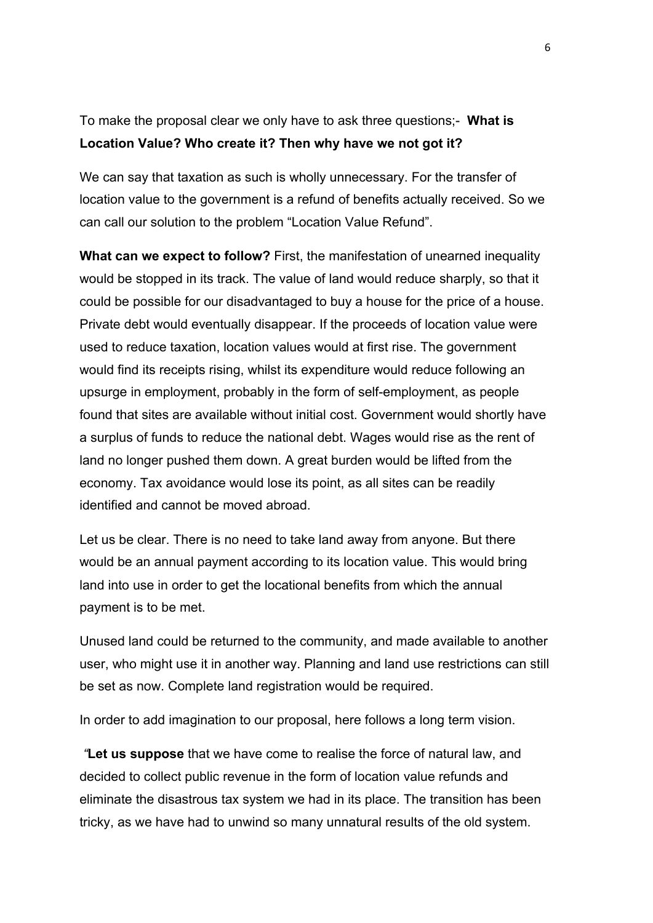# To make the proposal clear we only have to ask three questions;- **What is Location Value? Who create it? Then why have we not got it?**

We can say that taxation as such is wholly unnecessary. For the transfer of location value to the government is a refund of benefits actually received. So we can call our solution to the problem "Location Value Refund".

**What can we expect to follow?** First, the manifestation of unearned inequality would be stopped in its track. The value of land would reduce sharply, so that it could be possible for our disadvantaged to buy a house for the price of a house. Private debt would eventually disappear. If the proceeds of location value were used to reduce taxation, location values would at first rise. The government would find its receipts rising, whilst its expenditure would reduce following an upsurge in employment, probably in the form of self-employment, as people found that sites are available without initial cost. Government would shortly have a surplus of funds to reduce the national debt. Wages would rise as the rent of land no longer pushed them down. A great burden would be lifted from the economy. Tax avoidance would lose its point, as all sites can be readily identified and cannot be moved abroad.

Let us be clear. There is no need to take land away from anyone. But there would be an annual payment according to its location value. This would bring land into use in order to get the locational benefits from which the annual payment is to be met.

Unused land could be returned to the community, and made available to another user, who might use it in another way. Planning and land use restrictions can still be set as now. Complete land registration would be required.

In order to add imagination to our proposal, here follows a long term vision.

*"***Let us suppose** that we have come to realise the force of natural law, and decided to collect public revenue in the form of location value refunds and eliminate the disastrous tax system we had in its place. The transition has been tricky, as we have had to unwind so many unnatural results of the old system.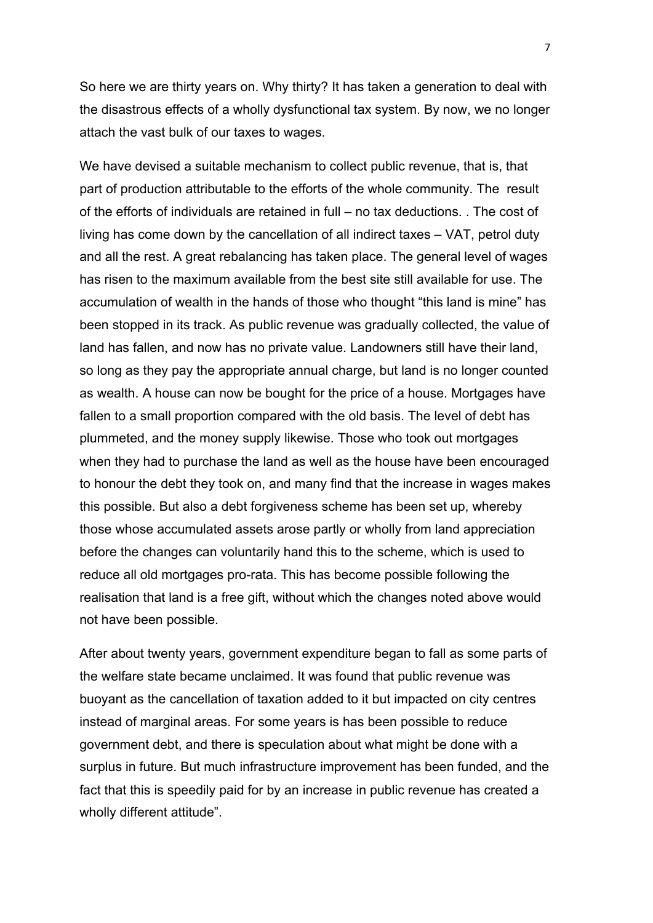So here we are thirty years on. Why thirty? It has taken a generation to deal with the disastrous effects of a wholly dysfunctional tax system. By now, we no longer attach the vast bulk of our taxes to wages.

We have devised a suitable mechanism to collect public revenue, that is, that part of production attributable to the efforts of the whole community. The result of the efforts of individuals are retained in full – no tax deductions. . The cost of living has come down by the cancellation of all indirect taxes – VAT, petrol duty and all the rest. A great rebalancing has taken place. The general level of wages has risen to the maximum available from the best site still available for use. The accumulation of wealth in the hands of those who thought "this land is mine" has been stopped in its track. As public revenue was gradually collected, the value of land has fallen, and now has no private value. Landowners still have their land, so long as they pay the appropriate annual charge, but land is no longer counted as wealth. A house can now be bought for the price of a house. Mortgages have fallen to a small proportion compared with the old basis. The level of debt has plummeted, and the money supply likewise. Those who took out mortgages when they had to purchase the land as well as the house have been encouraged to honour the debt they took on, and many find that the increase in wages makes this possible. But also a debt forgiveness scheme has been set up, whereby those whose accumulated assets arose partly or wholly from land appreciation before the changes can voluntarily hand this to the scheme, which is used to reduce all old mortgages pro-rata. This has become possible following the realisation that land is a free gift, without which the changes noted above would not have been possible.

After about twenty years, government expenditure began to fall as some parts of the welfare state became unclaimed. It was found that public revenue was buoyant as the cancellation of taxation added to it but impacted on city centres instead of marginal areas. For some years is has been possible to reduce government debt, and there is speculation about what might be done with a surplus in future. But much infrastructure improvement has been funded, and the fact that this is speedily paid for by an increase in public revenue has created a wholly different attitude".